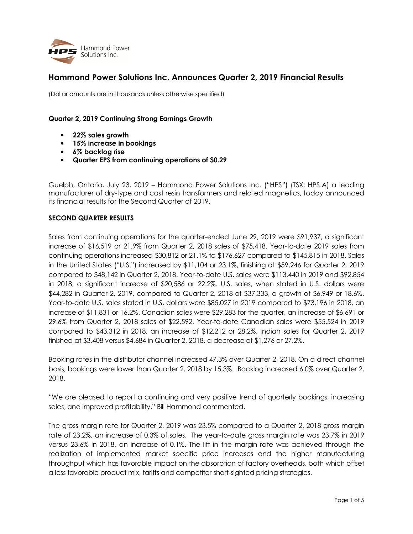

# **Hammond Power Solutions Inc. Announces Quarter 2, 2019 Financial Results**

(Dollar amounts are in thousands unless otherwise specified)

## **Quarter 2, 2019 Continuing Strong Earnings Growth**

- **22% sales growth**
- **15% increase in bookings**
- **6% backlog rise**
- **Quarter EPS from continuing operations of \$0.29**

Guelph, Ontario, July 23, 2019 – Hammond Power Solutions Inc. ("HPS") (TSX: HPS.A) a leading manufacturer of dry-type and cast resin transformers and related magnetics, today announced its financial results for the Second Quarter of 2019.

## **SECOND QUARTER RESULTS**

Sales from continuing operations for the quarter-ended June 29, 2019 were \$91,937, a significant increase of \$16,519 or 21.9% from Quarter 2, 2018 sales of \$75,418. Year-to-date 2019 sales from continuing operations increased \$30,812 or 21.1% to \$176,627 compared to \$145,815 in 2018. Sales in the United States ("U.S.") increased by \$11,104 or 23.1%, finishing at \$59,246 for Quarter 2, 2019 compared to \$48,142 in Quarter 2, 2018. Year-to-date U.S. sales were \$113,440 in 2019 and \$92,854 in 2018, a significant increase of \$20,586 or 22.2%. U.S. sales, when stated in U.S. dollars were \$44,282 in Quarter 2, 2019, compared to Quarter 2, 2018 of \$37,333, a growth of \$6,949 or 18.6%. Year-to-date U.S. sales stated in U.S. dollars were \$85,027 in 2019 compared to \$73,196 in 2018, an increase of \$11,831 or 16.2%. Canadian sales were \$29,283 for the quarter, an increase of \$6,691 or 29.6% from Quarter 2, 2018 sales of \$22,592. Year-to-date Canadian sales were \$55,524 in 2019 compared to \$43,312 in 2018, an increase of \$12,212 or 28.2%. Indian sales for Quarter 2, 2019 finished at \$3,408 versus \$4,684 in Quarter 2, 2018, a decrease of \$1,276 or 27.2%.

Booking rates in the distributor channel increased 47.3% over Quarter 2, 2018. On a direct channel basis, bookings were lower than Quarter 2, 2018 by 15.3%. Backlog increased 6.0% over Quarter 2, 2018.

"We are pleased to report a continuing and very positive trend of quarterly bookings, increasing sales, and improved profitability." Bill Hammond commented.

The gross margin rate for Quarter 2, 2019 was 23.5% compared to a Quarter 2, 2018 gross margin rate of 23.2%, an increase of 0.3% of sales. The year-to-date gross margin rate was 23.7% in 2019 versus 23.6% in 2018, an increase of 0.1%. The lift in the margin rate was achieved through the realization of implemented market specific price increases and the higher manufacturing throughput which has favorable impact on the absorption of factory overheads, both which offset a less favorable product mix, tariffs and competitor short-sighted pricing strategies.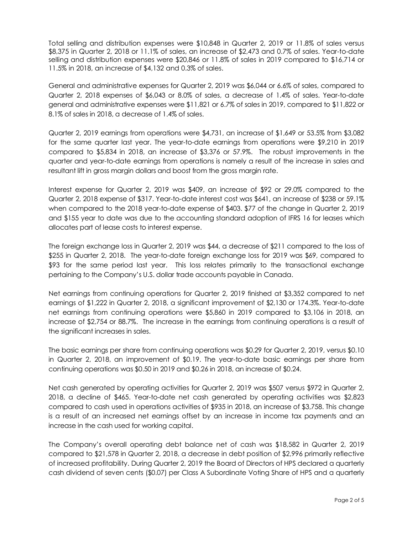Total selling and distribution expenses were \$10,848 in Quarter 2, 2019 or 11.8% of sales versus \$8,375 in Quarter 2, 2018 or 11.1% of sales, an increase of \$2,473 and 0.7% of sales. Year-to-date selling and distribution expenses were \$20,846 or 11.8% of sales in 2019 compared to \$16,714 or 11.5% in 2018, an increase of \$4,132 and 0.3% of sales.

General and administrative expenses for Quarter 2, 2019 was \$6,044 or 6.6% of sales, compared to Quarter 2, 2018 expenses of \$6,043 or 8.0% of sales, a decrease of 1.4% of sales. Year-to-date general and administrative expenses were \$11,821 or 6.7% of sales in 2019, compared to \$11,822 or 8.1% of sales in 2018, a decrease of 1.4% of sales.

Quarter 2, 2019 earnings from operations were \$4,731, an increase of \$1,649 or 53.5% from \$3,082 for the same quarter last year. The year-to-date earnings from operations were \$9,210 in 2019 compared to \$5,834 in 2018, an increase of \$3,376 or 57.9%. The robust improvements in the quarter and year-to-date earnings from operations is namely a result of the increase in sales and resultant lift in gross margin dollars and boost from the gross margin rate.

Interest expense for Quarter 2, 2019 was \$409, an increase of \$92 or 29.0% compared to the Quarter 2, 2018 expense of \$317. Year-to-date interest cost was \$641, an increase of \$238 or 59.1% when compared to the 2018 year-to-date expense of \$403. \$77 of the change in Quarter 2, 2019 and \$155 year to date was due to the accounting standard adoption of IFRS 16 for leases which allocates part of lease costs to interest expense.

The foreign exchange loss in Quarter 2, 2019 was \$44, a decrease of \$211 compared to the loss of \$255 in Quarter 2, 2018. The year-to-date foreign exchange loss for 2019 was \$69, compared to \$93 for the same period last year. This loss relates primarily to the transactional exchange pertaining to the Company's U.S. dollar trade accounts payable in Canada.

Net earnings from continuing operations for Quarter 2, 2019 finished at \$3,352 compared to net earnings of \$1,222 in Quarter 2, 2018, a significant improvement of \$2,130 or 174.3%. Year-to-date net earnings from continuing operations were \$5,860 in 2019 compared to \$3,106 in 2018, an increase of \$2,754 or 88.7%. The increase in the earnings from continuing operations is a result of the significant increases in sales.

The basic earnings per share from continuing operations was \$0.29 for Quarter 2, 2019, versus \$0.10 in Quarter 2, 2018, an improvement of \$0.19. The year-to-date basic earnings per share from continuing operations was \$0.50 in 2019 and \$0.26 in 2018, an increase of \$0.24.

Net cash generated by operating activities for Quarter 2, 2019 was \$507 versus \$972 in Quarter 2, 2018, a decline of \$465. Year-to-date net cash generated by operating activities was \$2,823 compared to cash used in operations activities of \$935 in 2018, an increase of \$3,758. This change is a result of an increased net earnings offset by an increase in income tax payments and an increase in the cash used for working capital.

The Company's overall operating debt balance net of cash was \$18,582 in Quarter 2, 2019 compared to \$21,578 in Quarter 2, 2018, a decrease in debt position of \$2,996 primarily reflective of increased profitability. During Quarter 2, 2019 the Board of Directors of HPS declared a quarterly cash dividend of seven cents (\$0.07) per Class A Subordinate Voting Share of HPS and a quarterly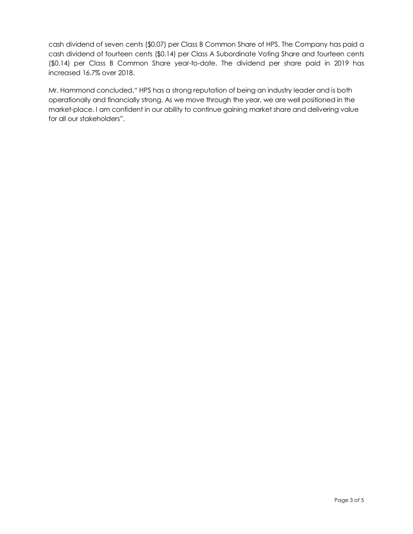cash dividend of seven cents (\$0.07) per Class B Common Share of HPS. The Company has paid a cash dividend of fourteen cents (\$0.14) per Class A Subordinate Voting Share and fourteen cents (\$0.14) per Class B Common Share year-to-date. The dividend per share paid in 2019 has increased 16.7% over 2018.

Mr. Hammond concluded," HPS has a strong reputation of being an industry leader and is both operationally and financially strong. As we move through the year, we are well positioned in the market-place. I am confident in our ability to continue gaining market share and delivering value for all our stakeholders".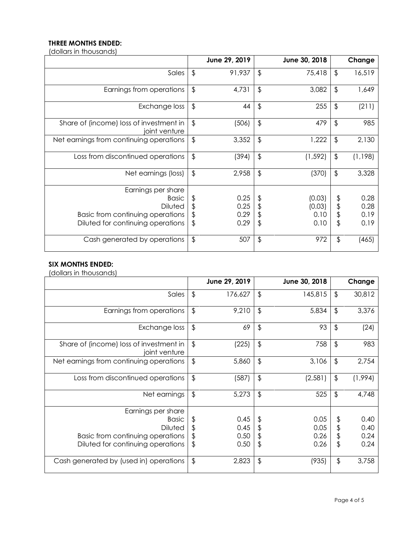## **THREE MONTHS ENDED:**

(dollars in thousands)

|                                                          |                         | June 29, 2019 |               | June 30, 2018 |               | Change   |
|----------------------------------------------------------|-------------------------|---------------|---------------|---------------|---------------|----------|
| Sales                                                    | $\frac{1}{2}$           | 91,937        | $\frac{1}{2}$ | 75,418        | $\frac{1}{2}$ | 16,519   |
| Earnings from operations                                 | $\frac{1}{2}$           | 4,731         | $\frac{1}{2}$ | 3,082         | $\frac{1}{2}$ | 1,649    |
| Exchange loss                                            | $\frac{1}{2}$           | 44            | $\frac{1}{2}$ | 255           | $\frac{1}{2}$ | (211)    |
| Share of (income) loss of investment in<br>joint venture | $\sqrt[6]{\frac{1}{2}}$ | (506)         | $\frac{1}{2}$ | 479           | $\frac{1}{2}$ | 985      |
| Net earnings from continuing operations                  | $\frac{1}{2}$           | 3,352         | $\frac{1}{2}$ | 1,222         | $\frac{1}{2}$ | 2,130    |
| Loss from discontinued operations                        | $\frac{1}{2}$           | (394)         | $\frac{1}{2}$ | (1, 592)      | \$            | (1, 198) |
| Net earnings (loss)                                      | \$                      | 2,958         | $\frac{1}{2}$ | (370)         | \$            | 3,328    |
| Earnings per share                                       |                         |               |               |               |               |          |
| <b>Basic</b>                                             | \$                      | 0.25          | \$            | (0.03)        | \$            | 0.28     |
| <b>Diluted</b>                                           | \$                      | 0.25          |               | (0.03)        | \$            | 0.28     |
| Basic from continuing operations                         | \$                      | 0.29          | \$            | 0.10          | \$            | 0.19     |
| Diluted for continuing operations                        | \$                      | 0.29          | \$            | 0.10          | \$            | 0.19     |
| Cash generated by operations                             | $\frac{1}{2}$           | 507           | $\frac{1}{2}$ | 972           | \$            | (465)    |

# **SIX MONTHS ENDED:**

(dollars in thousands)

|                                                          |               | June 29, 2019 |               | June 30, 2018 |               | Change  |
|----------------------------------------------------------|---------------|---------------|---------------|---------------|---------------|---------|
| Sales                                                    | \$            | 176,627       | $\frac{1}{2}$ | 145,815       | $\frac{1}{2}$ | 30,812  |
| Earnings from operations                                 | \$            | 9,210         | $\frac{1}{2}$ | 5,834         | $\frac{1}{2}$ | 3,376   |
| Exchange loss                                            | \$            | 69            | $\frac{1}{2}$ | 93            | $\frac{1}{2}$ | (24)    |
| Share of (income) loss of investment in<br>joint venture | \$            | (225)         | $\frac{1}{2}$ | 758           | $\frac{1}{2}$ | 983     |
| Net earnings from continuing operations                  | $\frac{1}{2}$ | 5,860         | $\frac{1}{2}$ | 3,106         | $\frac{1}{2}$ | 2,754   |
| Loss from discontinued operations                        | \$            | (587)         | $\frac{1}{2}$ | (2,581)       | $\frac{1}{2}$ | (1,994) |
| Net earnings                                             | \$            | 5,273         | $\frac{1}{2}$ | 525           | \$            | 4,748   |
| Earnings per share                                       |               |               |               |               |               |         |
| <b>Basic</b>                                             | \$            | 0.45          | \$            | 0.05          | \$            | 0.40    |
| Diluted                                                  | \$            | 0.45          | \$            | 0.05          | \$            | 0.40    |
| Basic from continuing operations                         | \$            | 0.50          | \$            | 0.26          | \$            | 0.24    |
| Diluted for continuing operations                        | \$            | 0.50          | $\frac{1}{2}$ | 0.26          | \$            | 0.24    |
| Cash generated by (used in) operations                   | $\frac{1}{2}$ | 2,823         | $\frac{1}{2}$ | (935)         | \$            | 3,758   |